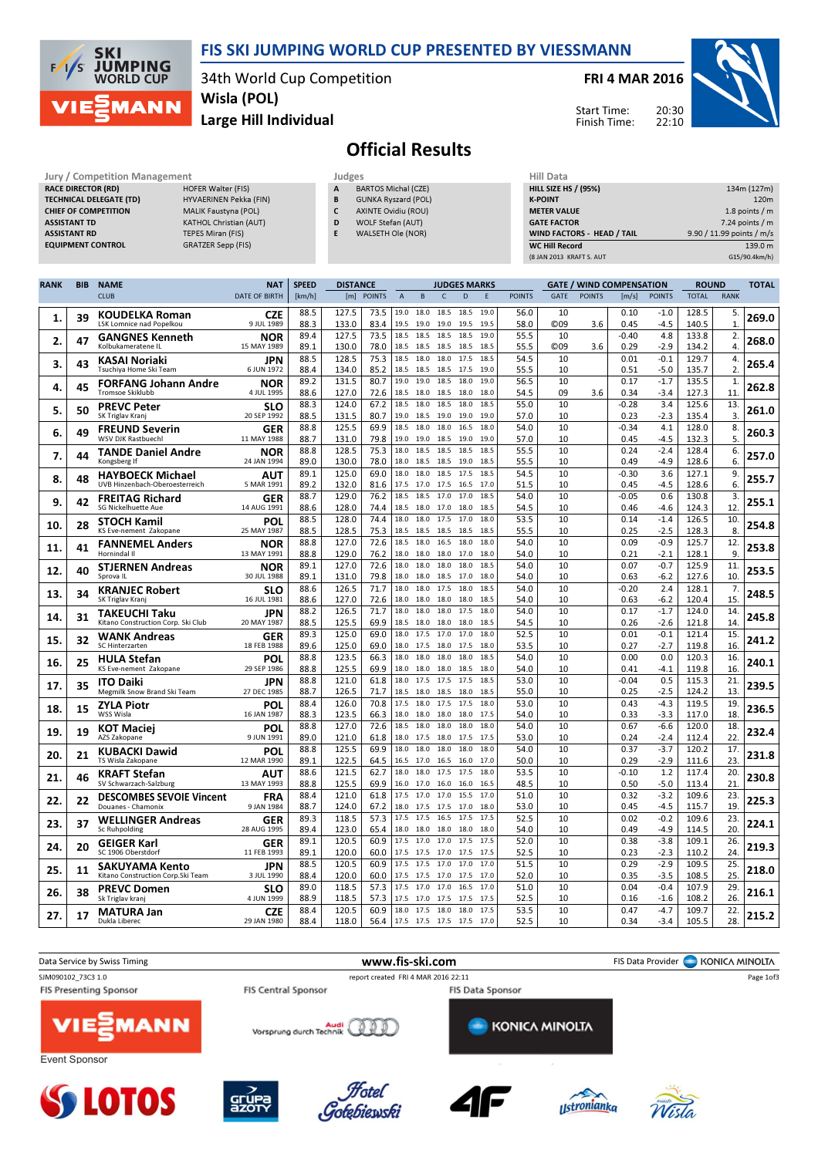

34th World Cup Competition Wisla (POL)

Large Hill Individual

FRI 4 MAR 2016



Start Time: Finish Time:

## Official Results

| Jury / Competition Management  |                               | Judges | <b>Hill Data</b>           |                    |
|--------------------------------|-------------------------------|--------|----------------------------|--------------------|
| <b>RACE DIRECTOR (RD)</b>      | HOFER Walter (FIS)            | A      | <b>BARTOS Michal (CZE)</b> | <b>HILL SIZE H</b> |
| <b>TECHNICAL DELEGATE (TD)</b> | HYVAERINEN Pekka (FIN)        | B      | <b>GUNKA Ryszard (POL)</b> | <b>K-POINT</b>     |
| <b>CHIEF OF COMPETITION</b>    | <b>MALIK Faustyna (POL)</b>   |        | <b>AXINTE Ovidiu (ROU)</b> | <b>METER VAI</b>   |
| <b>ASSISTANT TD</b>            | <b>KATHOL Christian (AUT)</b> | D      | WOLF Stefan (AUT)          | <b>GATE FACT</b>   |
| <b>ASSISTANT RD</b>            | <b>TEPES Miran (FIS)</b>      |        | WALSETH Ole (NOR)          | <b>WIND FACT</b>   |
| <b>EQUIPMENT CONTROL</b>       | GRATZER Sepp (FIS)            |        |                            | <b>WC Hill Reg</b> |

**SKI** 

 $F/1/s$ 

**JUMPING**<br>WORLD CUP

**MANN** 

| Judges |                            |
|--------|----------------------------|
| A      | <b>BARTOS Michal (CZE)</b> |
| B      | <b>GUNKA Ryszard (POL)</b> |
| C      | <b>AXINTE Ovidiu (ROU)</b> |
| D      | <b>WOLF Stefan (AUT)</b>   |
| F      | WALSETH Ole (NOR)          |

| нш рата                     |                           |
|-----------------------------|---------------------------|
| <b>HILL SIZE HS / (95%)</b> | 134m (127m)               |
| <b>K-POINT</b>              | 120 <sub>m</sub>          |
| <b>METER VALUE</b>          | 1.8 points $/m$           |
| <b>GATE FACTOR</b>          | $7.24$ points / m         |
| WIND FACTORS - HEAD / TAIL  | 9.90 / 11.99 points / m/s |
| <b>WC Hill Record</b>       | 139.0 m                   |
| (8 JAN 2013 KRAFT S. AUT    | G15/90.4km/h)             |

| <b>RANK</b> | <b>BIB</b> | <b>NAME</b>                                              | <b>NAT</b>                | <b>DISTANCE</b><br><b>SPEED</b> |                |              |                |                             |                   | <b>JUDGES MARKS</b> |              |               |                       | <b>GATE / WIND COMPENSATION</b> |                 |                  | <b>ROUND</b>   |                    | <b>TOTAL</b> |
|-------------|------------|----------------------------------------------------------|---------------------------|---------------------------------|----------------|--------------|----------------|-----------------------------|-------------------|---------------------|--------------|---------------|-----------------------|---------------------------------|-----------------|------------------|----------------|--------------------|--------------|
|             |            | <b>CLUB</b>                                              | <b>DATE OF BIRTH</b>      | [km/h]                          |                | [m] POINTS   | $\overline{A}$ | B                           | $\mathsf{C}$      | D                   | E            | <b>POINTS</b> | <b>GATE</b>           | <b>POINTS</b>                   | [m/s]           | <b>POINTS</b>    | <b>TOTAL</b>   | <b>RANK</b>        |              |
| 1.          | 39         | <b>KOUDELKA Roman</b><br><b>LSK Lomnice nad Popelkou</b> | <b>CZE</b><br>9 JUL 1989  | 88.5<br>88.3                    | 127.5<br>133.0 | 73.5<br>83.4 | 19.0<br>19.5   | 18.0 18.5<br>19.0 19.0 19.5 |                   | 18.5                | 19.0<br>19.5 | 56.0<br>58.0  | 10<br>C <sub>09</sub> | 3.6                             | 0.10<br>0.45    | $-1.0$<br>$-4.5$ | 128.5<br>140.5 | 5.<br>$\mathbf{1}$ | 269.0        |
| 2.          | 47         | <b>GANGNES Kenneth</b><br>Kolbukameratene IL             | NOR<br>15 MAY 1989        | 89.4<br>89.1                    | 127.5<br>130.0 | 73.5<br>78.0 | 18.5<br>18.5   | 18.5<br>18.5                | 18.5<br>18.5      | 18.5<br>18.5        | 19.0<br>18.5 | 55.5<br>55.5  | 10<br>C <sub>09</sub> | 3.6                             | $-0.40$<br>0.29 | 4.8<br>$-2.9$    | 133.8<br>134.2 | 2.<br>4.           | 268.0        |
|             |            | KASAI Noriaki                                            | JPN                       | 88.5                            | 128.5          | 75.3         | 18.5           | 18.0                        | 18.0              | 17.5                | 18.5         | 54.5          | 10                    |                                 | 0.01            | $-0.1$           | 129.7          | 4.                 |              |
| 3.          | 43         | Tsuchiya Home Ski Team                                   | 6 JUN 1972                | 88.4                            | 134.0          | 85.2         | 18.5           | 18.5                        | 18.5 17.5         |                     | 19.0         | 55.5          | 10                    |                                 | 0.51            | $-5.0$           | 135.7          | 2.                 | 265.4        |
| 4.          | 45         | <b>FORFANG Johann Andre</b>                              | <b>NOR</b>                | 89.2                            | 131.5          | 80.7         | 19.0           | 19.0                        | 18.5              | 18.0                | 19.0         | 56.5          | 10                    |                                 | 0.17            | $-1.7$           | 135.5          | $\mathbf{1}$       | 262.8        |
|             |            | <b>Tromsoe Skiklubb</b>                                  | 4 JUL 1995                | 88.6                            | 127.0          | 72.6         | 18.5           | 18.0                        | 18.5              | 18.0                | 18.0<br>18.5 | 54.5          | 09                    | 3.6                             | 0.34            | $-3.4$           | 127.3          | 11                 |              |
| 5.          | 50         | <b>PREVC Peter</b><br>SK Triglav Kranj                   | <b>SLO</b><br>20 SEP 1992 | 88.3<br>88.5                    | 124.0<br>131.5 | 67.2<br>80.7 | 18.5<br>19.0   | 18.0<br>18.5                | 18.5<br>19.0      | 18.0<br>19.0        | 19.0         | 55.0<br>57.0  | 10<br>10              |                                 | $-0.28$<br>0.23 | 3.4<br>$-2.3$    | 125.6<br>135.4 | 13.<br>3.          | 261.0        |
| 6.          | 49         | <b>FREUND Severin</b>                                    | <b>GER</b>                | 88.8                            | 125.5          | 69.9         | 18.5           | 18.0                        | 18.0              | 16.5                | 18.0         | 54.0          | 10                    |                                 | $-0.34$         | 4.1              | 128.0          | 8.                 | 260.3        |
|             |            | WSV DJK Rastbuechl                                       | 11 MAY 1988               | 88.7                            | 131.0          | 79.8         | 19.0           | 19.0 18.5 19.0              |                   |                     | 19.0         | 57.0          | 10                    |                                 | 0.45            | $-4.5$           | 132.3          | 5.                 |              |
| 7.          | 44         | <b>TANDE Daniel Andre</b><br>Kongsberg If                | <b>NOR</b><br>24 JAN 1994 | 88.8<br>89.0                    | 128.5<br>130.0 | 75.3<br>78.0 | 18.0<br>18.0   | 18.5<br>18.5                | 18.5<br>18.5      | 18.5<br>19.0        | 18.5<br>18.5 | 55.5<br>55.5  | 10<br>10              |                                 | 0.24<br>0.49    | $-2.4$<br>$-4.9$ | 128.4          | 6.<br>6.           | 257.0        |
|             |            | <b>HAYBOECK Michael</b>                                  | AUT                       | 89.1                            | 125.0          | 69.0         | 18.0           | 18.0                        | 18.5              | 17.5                | 18.5         | 54.5          | 10                    |                                 | $-0.30$         | 3.6              | 128.6<br>127.1 | 9.                 |              |
| 8.          | 48         | UVB Hinzenbach-Oberoesterreich                           | 5 MAR 1991                | 89.2                            | 132.0          | 81.6         | 17.5           | 17.0                        | 17.5              | 16.5                | 17.0         | 51.5          | 10                    |                                 | 0.45            | $-4.5$           | 128.6          | 6.                 | 255.7        |
| 9.          | 42         | <b>FREITAG Richard</b>                                   | GER                       | 88.7                            | 129.0          | 76.2         | 18.5           | 18.5                        | 17.0              | 17.0                | 18.5         | 54.0          | 10                    |                                 | $-0.05$         | 0.6              | 130.8          | 3.                 | 255.1        |
|             |            | <b>SG Nickelhuette Aue</b>                               | 14 AUG 1991               | 88.6                            | 128.0          | 74.4         | 18.5           | 18.0 17.0 18.0              |                   |                     | 18.5         | 54.5          | 10                    |                                 | 0.46            | $-4.6$           | 124.3          | 12.                |              |
| 10.         | 28         | <b>STOCH Kamil</b><br>KS Eve-nement Zakopane             | POL<br>25 MAY 1987        | 88.5<br>88.5                    | 128.0<br>128.5 | 74.4<br>75.3 | 18.0<br>18.5   | 18.0<br>18.5                | 17.5<br>18.5      | 17.0<br>18.5        | 18.0<br>18.5 | 53.5<br>55.5  | 10<br>10              |                                 | 0.14<br>0.25    | $-1.4$<br>$-2.5$ | 126.5<br>128.3 | 10.<br>8.          | 254.8        |
|             |            | <b>FANNEMEL Anders</b>                                   | <b>NOR</b>                | 88.8                            | 127.0          | 72.6         | 18.5           | 18.0                        | 16.5              | 18.0                | 18.0         | 54.0          | 10                    |                                 | 0.09            | $-0.9$           | 125.7          | 12.                |              |
| 11.         | 41         | Hornindal II                                             | 13 MAY 1991               | 88.8                            | 129.0          | 76.2         | 18.0           | 18.0                        | 18.0              | 17.0                | 18.0         | 54.0          | 10                    |                                 | 0.21            | $-2.1$           | 128.1          | 9.                 | 253.8        |
| 12.         | 40         | <b>STJERNEN Andreas</b>                                  | <b>NOR</b>                | 89.1                            | 127.0          | 72.6         | 18.0           | 18.0                        | 18.0              | 18.0                | 18.5         | 54.0          | 10                    |                                 | 0.07            | $-0.7$           | 125.9          | 11.                | 253.5        |
|             |            | Sprova IL                                                | 30 JUL 1988               | 89.1                            | 131.0          | 79.8         | 18.0           | 18.0                        | 18.5 17.0         |                     | 18.0         | 54.0          | 10                    |                                 | 0.63            | $-6.2$           | 127.6          | 10.                |              |
| 13.         | 34         | <b>KRANJEC Robert</b><br>SK Triglav Kranj                | <b>SLO</b><br>16 JUL 1981 | 88.6                            | 126.5          | 71.7<br>72.6 | 18.0<br>18.0   | 18.0<br>18.0                | 17.5<br>18.0      | 18.0<br>18.0        | 18.5<br>18.5 | 54.0<br>54.0  | 10<br>10              |                                 | $-0.20$<br>0.63 | 2.4<br>$-6.2$    | 128.1          | 7.<br>15.          | 248.5        |
|             |            | TAKEUCHI Taku                                            | JPN                       | 88.6<br>88.2                    | 127.0<br>126.5 | 71.7         | 18.0           | 18.0                        | 18.0              | 17.5                | 18.0         | 54.0          | 10                    |                                 | 0.17            | $-1.7$           | 120.4<br>124.0 | 14.                |              |
| 14.         | 31         | Kitano Construction Corp. Ski Club                       | 20 MAY 1987               | 88.5                            | 125.5          | 69.9         | 18.5           | 18.0                        | 18.0              | 18.0                | 18.5         | 54.5          | 10                    |                                 | 0.26            | $-2.6$           | 121.8          | 14.                | 245.8        |
| 15.         | 32         | <b>WANK Andreas</b>                                      | GER                       | 89.3                            | 125.0          | 69.0         | 18.0           | 17.5                        | 17.0              | 17.0                | 18.0         | 52.5          | 10                    |                                 | 0.01            | $-0.1$           | 121.4          | 15.                | 241.2        |
|             |            | SC Hinterzarten                                          | 18 FEB 1988               | 89.6                            | 125.0          | 69.0         | 18.0           | 17.5                        | 18.0 17.5         |                     | 18.0<br>18.5 | 53.5<br>54.0  | 10<br>10              |                                 | 0.27<br>0.00    | $-2.7$<br>0.0    | 119.8          | 16.                |              |
| 16.         | 25         | <b>HULA Stefan</b><br>KS Eve-nement Zakopane             | POL<br>29 SEP 1986        | 88.8<br>88.8                    | 123.5<br>125.5 | 66.3<br>69.9 | 18.0<br>18.0   | 18.0<br>18.0                | 18.0<br>18.0      | 18.0<br>18.5        | 18.0         | 54.0          | 10                    |                                 | 0.41            | $-4.1$           | 120.3<br>119.8 | 16.<br>16.         | 240.1        |
|             |            | <b>ITO Daiki</b>                                         | JPN                       | 88.8                            | 121.0          | 61.8         | 18.0           | 17.5 17.5 17.5              |                   |                     | 18.5         | 53.0          | 10                    |                                 | $-0.04$         | 0.5              | 115.3          | 21.                |              |
| 17.         | 35         | Megmilk Snow Brand Ski Team                              | 27 DEC 1985               | 88.7                            | 126.5          | 71.7         | 18.5           | 18.0                        | 18.5              | 18.0                | 18.5         | 55.0          | 10                    |                                 | 0.25            | $-2.5$           | 124.2          | 13.                | 239.5        |
| 18.         | 15         | <b>ZYLA Piotr</b>                                        | POL                       | 88.4                            | 126.0          | 70.8         | 17.5           | 18.0                        | 17.5              | 17.5                | 18.0         | 53.0          | 10                    |                                 | 0.43            | $-4.3$           | 119.5          | 19                 | 236.5        |
|             |            | WSS Wisla                                                | 16 JAN 1987               | 88.3<br>88.8                    | 123.5<br>127.0 | 66.3<br>72.6 | 18.0<br>18.5   | 18.0<br>18.0                | 18.0 18.0<br>18.0 | 18.0                | 17.5<br>18.0 | 54.0<br>54.0  | 10<br>10              |                                 | 0.33<br>0.67    | -3.3<br>$-6.6$   | 117.0<br>120.0 | 18<br>18.          |              |
| 19.         | 19         | <b>KOT Maciej</b><br>AZS Zakopane                        | <b>POL</b><br>9 JUN 1991  | 89.0                            | 121.0          | 61.8         | 18.0           | 17.5                        | 18.0              | 17.5                | 17.5         | 53.0          | 10                    |                                 | 0.24            | $-2.4$           | 112.4          | 22                 | 232.4        |
| 20.         | 21         | <b>KUBACKI Dawid</b>                                     | POL                       | 88.8                            | 125.5          | 69.9         | 18.0           | 18.0                        | 18.0              | 18.0                | 18.0         | 54.0          | 10                    |                                 | 0.37            | $-3.7$           | 120.2          | 17.                | 231.8        |
|             |            | TS Wisla Zakopane                                        | 12 MAR 1990               | 89.1                            | 122.5          | 64.5         | 16.5           | 17.0                        | 16.5              | 16.0                | 17.0         | 50.0          | 10                    |                                 | 0.29            | $-2.9$           | 111.6          | 23.                |              |
| 21.         | 46         | <b>KRAFT Stefan</b><br>SV Schwarzach-Salzburg            | AUT<br>13 MAY 1993        | 88.6<br>88.8                    | 121.5<br>125.5 | 62.7<br>69.9 | 18.0<br>16.0   | 18.0<br>17.0                | 17.5<br>16.0      | 17.5<br>16.0        | 18.0<br>16.5 | 53.5<br>48.5  | 10<br>10              |                                 | $-0.10$<br>0.50 | 1.2<br>$-5.0$    | 117.4<br>113.4 | 20.<br>21          | 230.8        |
|             |            | <b>DESCOMBES SEVOIE Vincent</b>                          | <b>FRA</b>                | 88.4                            | 121.0          | 61.8         | 17.5           | 17.0                        | 17.0              | 15.5                | 17.0         | 51.0          | 10                    |                                 | 0.32            | $-3.2$           | 109.6          | 23.                |              |
| 22.         | 22         | Douanes - Chamonix                                       | 9 JAN 1984                | 88.7                            | 124.0          | 67.2         | 18.0           | 17.5                        | 17.5              | 17.0                | 18.0         | 53.0          | 10                    |                                 | 0.45            | $-4.5$           | 115.7          | 19                 | 225.3        |
| 23.         | 37         | <b>WELLINGER Andreas</b>                                 | GER                       | 89.3                            | 118.5          | 57.3         | 17.5           | 17.5                        | 16.5              | 17.5                | 17.5         | 52.5          | 10                    |                                 | 0.02            | $-0.2$           | 109.6          | 23.                | 224.1        |
|             |            | Sc Ruhpolding                                            | 28 AUG 1995               | 89.4                            | 123.0          | 65.4         | 18.0           | 18.0                        | 18.0              | 18.0                | 18.0         | 54.0          | 10                    |                                 | 0.49            | $-4.9$           | 114.5          | 20.                |              |
| 24.         | 20         | <b>GEIGER Karl</b><br>SC 1906 Oberstdorf                 | GER<br>11 FEB 1993        | 89.1<br>89.1                    | 120.5<br>120.0 | 60.9<br>60.0 | 17.5<br>17.5   | 17.0<br>17.5 17.0 17.5      | 17.0              | 17.5                | 17.5<br>17.5 | 52.0<br>52.5  | 10<br>10              |                                 | 0.38<br>0.23    | $-3.8$<br>$-2.3$ | 109.1<br>110.2 | 26.<br>24          | 219.3        |
|             |            | SAKUYAMA Kento                                           | JPN                       | 88.5                            | 120.5          | 60.9         | 17.5           | 17.5                        | 17.0              | 17.0                | 17.0         | 51.5          | 10                    |                                 | 0.29            | $-2.9$           | 109.5          | 25.                |              |
| 25.         | 11         | Kitano Construction Corp. Ski Team                       | 3 JUL 1990                | 88.4                            | 120.0          | 60.0         | 17.5           | 17.5                        | 17.0              | 17.5                | 17.0         | 52.0          | 10                    |                                 | 0.35            | $-3.5$           | 108.5          | 25.                | 218.0        |
| 26.         | 38         | <b>PREVC Domen</b>                                       | <b>SLO</b>                | 89.0                            | 118.5          | 57.3         | 17.5           | 17.0                        | 17.0              | 16.5                | 17.0         | 51.0          | 10                    |                                 | 0.04            | $-0.4$           | 107.9          | 29.                | 216.1        |
|             |            | Sk Triglav kranj                                         | 4 JUN 1999                | 88.9<br>88.4                    | 118.5<br>120.5 | 57.3<br>60.9 | 17.5           | 17.0<br>18.0 17.5 18.0 18.0 | 17.5              | 17.5                | 17.5<br>17.5 | 52.5<br>53.5  | 10<br>10              |                                 | 0.16<br>0.47    | $-1.6$<br>$-4.7$ | 108.2<br>109.7 | 26.<br>22.         |              |
| 27.         | 17         | <b>MATURA Jan</b><br>Dukla Liberec                       | <b>CZE</b><br>29 JAN 1980 | 88.4                            | 118.0          | 56.4         |                | 17.5 17.5 17.5 17.5         |                   |                     | 17.0         | 52.5          | 10                    |                                 | 0.34            | $-3.4$           | 105.5          | 28.                | 215.2        |

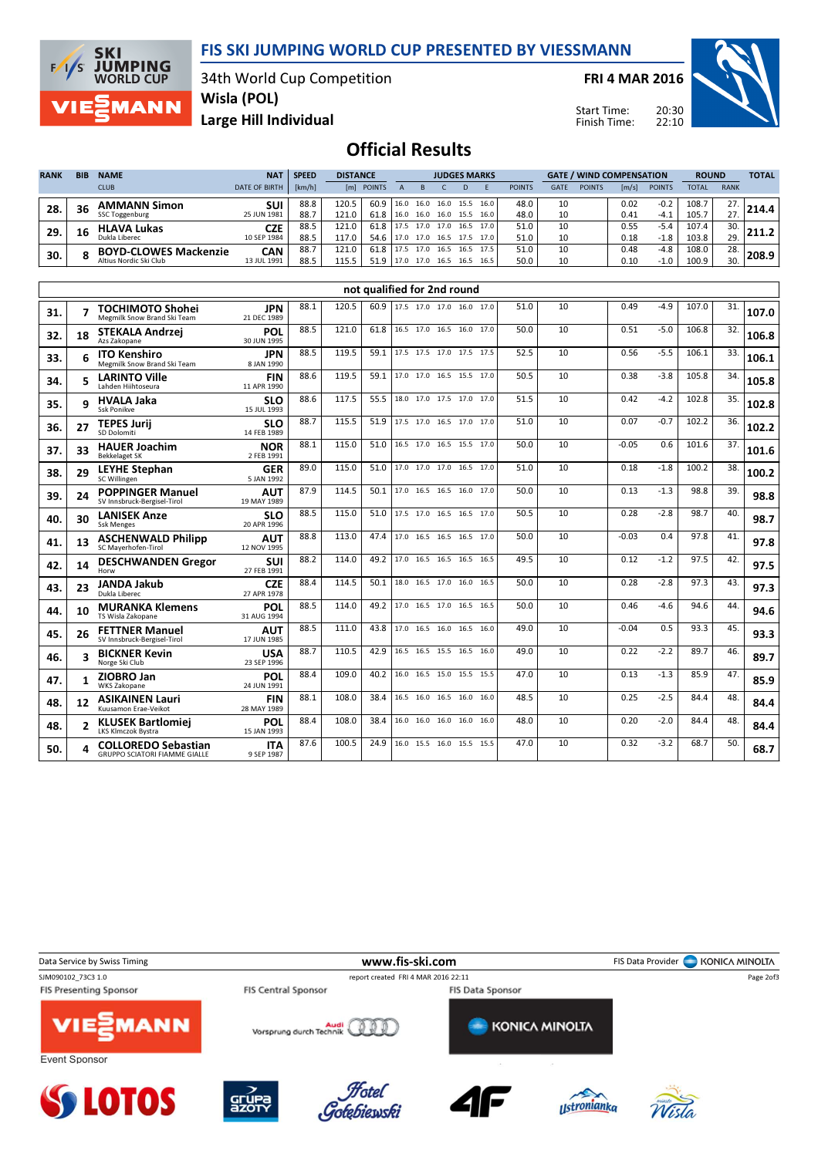

**JUMPING**<br>WORLD CUP **MANN** 

**SKI** 

 $F/1/S$ 

34th World Cup Competition Wisla (POL)

FRI 4 MAR 2016

Start Time: Finish Time:



Large Hill Individual

## Official Results

| <b>RANK</b> | <b>BIB</b> | <b>NAME</b>                  | <b>NAT</b>           | <b>SPEED</b> |       | <b>DISTANCE</b> |      |           | <b>JUDGES MARKS</b> |      |           |               | <b>GATE / WIND COMPENSATION</b> |               |       |               | <b>ROUND</b> |             | <b>TOTAL</b> |
|-------------|------------|------------------------------|----------------------|--------------|-------|-----------------|------|-----------|---------------------|------|-----------|---------------|---------------------------------|---------------|-------|---------------|--------------|-------------|--------------|
|             |            | <b>CLUB</b>                  | <b>DATE OF BIRTH</b> | [km/h]       | [m]   | <b>POINTS</b>   |      |           |                     |      |           | <b>POINTS</b> | <b>GATE</b>                     | <b>POINTS</b> | [m/s] | <b>POINTS</b> | <b>TOTAL</b> | <b>RANK</b> |              |
| 28.         | 36         | <b>AMMANN Simon</b>          | <b>SUI</b>           | 88.8         | 120.5 | 60.9            | 16.0 | 16.0      | 16.0                | 15.5 | 16.0      | 48.0          | 10                              |               | 0.02  | $-0.2$        | 108.7        |             | 214.4        |
|             |            | SSC Toggenburg               | 25 JUN 1981          | 88.7         | 121.0 | 61.8            | 16.0 | 16.0      | 16.0                | 15.5 | 16.0      | 48.0          | 10                              |               | 0.41  | $-4.1$        | 105.7        | $\sim$      |              |
| 29.         | 16         | <b>HLAVA Lukas</b>           | <b>CZE</b>           | 88.5         | 121.0 | 61.8            | 17.5 | 17.0      | 17.0                | 16.5 | 17.0      | 51.0          | 10                              |               | 0.55  | $-5.4$        | 107.4        | 30.         |              |
|             |            | Dukla Liberec                | 10 SEP 1984          | 88.5         | 117.0 | 54.6            |      | 17.0 17.0 | 16.5                | 17.5 | 17.0      | 51.0          | 10                              |               | 0.18  | $-1.8$        | 103.8        | 29.         |              |
| 30.         |            | <b>BOYD-CLOWES Mackenzie</b> | CAN                  | 88.7         | 121.0 | 61.8            | 17.5 | 17.0      | 16.5                |      | 16.5 17.5 | 51.0          | 10                              |               | 0.48  | $-4.8$        | 108.0        | 28.         | 208.9        |
|             |            | Altius Nordic Ski Club       | 13 JUL 1991          | 88.5         | 115.5 | 51.9            | 17.0 | 17.0      | 16.5                | 16.5 | 16.5      | 50.0          | 10                              |               | 0.10  | $-1.0$        | 100.9        | 30.         |              |

|     | not qualified for 2nd round<br>17.5 17.0 17.0 16.0 17.0 |                                                                    |                           |      |       |      |  |                          |  |  |      |      |    |         |        |       |     |       |
|-----|---------------------------------------------------------|--------------------------------------------------------------------|---------------------------|------|-------|------|--|--------------------------|--|--|------|------|----|---------|--------|-------|-----|-------|
| 31. |                                                         | <b>TOCHIMOTO Shohei</b><br>Megmilk Snow Brand Ski Team             | <b>JPN</b><br>21 DEC 1989 | 88.1 | 120.5 | 60.9 |  |                          |  |  |      | 51.0 | 10 | 0.49    | $-4.9$ | 107.0 | 31. | 107.0 |
| 32. | 18                                                      | <b>STEKALA Andrzei</b><br>Azs Zakopane                             | POL<br>30 JUN 1995        | 88.5 | 121.0 | 61.8 |  | 16.5 17.0 16.5 16.0 17.0 |  |  |      | 50.0 | 10 | 0.51    | $-5.0$ | 106.8 | 32. | 106.8 |
| 33. |                                                         | <b>ITO Kenshiro</b><br>Megmilk Snow Brand Ski Team                 | <b>JPN</b><br>8 JAN 1990  | 88.5 | 119.5 | 59.1 |  | 17.5 17.5 17.0 17.5      |  |  | 17.5 | 52.5 | 10 | 0.56    | $-5.5$ | 106.1 | 33. | 106.1 |
| 34. | 5                                                       | <b>LARINTO Ville</b><br>Lahden Hiihtoseura                         | <b>FIN</b><br>11 APR 1990 | 88.6 | 119.5 | 59.1 |  | 17.0 17.0 16.5 15.5 17.0 |  |  |      | 50.5 | 10 | 0.38    | $-3.8$ | 105.8 | 34. | 105.8 |
| 35. | q                                                       | <b>HVALA Jaka</b><br>Ssk Ponikve                                   | <b>SLO</b><br>15 JUL 1993 | 88.6 | 117.5 | 55.5 |  | 18.0 17.0 17.5 17.0 17.0 |  |  |      | 51.5 | 10 | 0.42    | $-4.2$ | 102.8 | 35. | 102.8 |
| 36. | 27                                                      | <b>TEPES Jurij</b><br>SD Dolomiti                                  | <b>SLO</b><br>14 FEB 1989 | 88.7 | 115.5 | 51.9 |  | 17.5 17.0 16.5 17.0 17.0 |  |  |      | 51.0 | 10 | 0.07    | $-0.7$ | 102.2 | 36. | 102.2 |
| 37. | 33                                                      | <b>HAUER Joachim</b><br><b>Bekkelaget SK</b>                       | <b>NOR</b><br>2 FEB 1991  | 88.1 | 115.0 | 51.0 |  | 16.5 17.0 16.5 15.5 17.0 |  |  |      | 50.0 | 10 | -0.05   | 0.6    | 101.6 | 37. | 101.6 |
| 38. | 29                                                      | <b>LEYHE Stephan</b><br>SC Willingen                               | <b>GER</b><br>5 JAN 1992  | 89.0 | 115.0 | 51.0 |  | 17.0 17.0 17.0 16.5 17.0 |  |  |      | 51.0 | 10 | 0.18    | $-1.8$ | 100.2 | 38. | 100.2 |
| 39. | 24                                                      | <b>POPPINGER Manuel</b><br>SV Innsbruck-Bergisel-Tirol             | <b>AUT</b><br>19 MAY 1989 | 87.9 | 114.5 | 50.1 |  | 17.0 16.5 16.5 16.0 17.0 |  |  |      | 50.0 | 10 | 0.13    | $-1.3$ | 98.8  | 39. | 98.8  |
| 40. | 30                                                      | <b>LANISEK Anze</b><br>Ssk Menges                                  | <b>SLO</b><br>20 APR 1996 | 88.5 | 115.0 | 51.0 |  | 17.5 17.0 16.5 16.5 17.0 |  |  |      | 50.5 | 10 | 0.28    | $-2.8$ | 98.7  | 40. | 98.7  |
| 41. | 13                                                      | <b>ASCHENWALD Philipp</b><br>SC Maverhofen-Tirol                   | <b>AUT</b><br>12 NOV 1995 | 88.8 | 113.0 | 47.4 |  | 17.0 16.5 16.5 16.5 17.0 |  |  |      | 50.0 | 10 | $-0.03$ | 0.4    | 97.8  | 41. | 97.8  |
| 42. | 14                                                      | <b>DESCHWANDEN Gregor</b><br>Horw                                  | <b>SUI</b><br>27 FEB 1991 | 88.2 | 114.0 | 49.2 |  | 17.0 16.5 16.5 16.5 16.5 |  |  |      | 49.5 | 10 | 0.12    | $-1.2$ | 97.5  | 42. | 97.5  |
| 43. | 23                                                      | <b>JANDA Jakub</b><br>Dukla Liberec                                | <b>CZE</b><br>27 APR 1978 | 88.4 | 114.5 | 50.1 |  | 18.0 16.5 17.0 16.0      |  |  | 16.5 | 50.0 | 10 | 0.28    | $-2.8$ | 97.3  | 43. | 97.3  |
| 44. | 10                                                      | <b>MURANKA Klemens</b><br>TS Wisla Zakopane                        | POL<br>31 AUG 1994        | 88.5 | 114.0 | 49.2 |  | 17.0 16.5 17.0 16.5 16.5 |  |  |      | 50.0 | 10 | 0.46    | -4.6   | 94.6  | 44. | 94.6  |
| 45. | 26                                                      | <b>FETTNER Manuel</b><br>SV Innsbruck-Bergisel-Tirol               | <b>AUT</b><br>17 JUN 1985 | 88.5 | 111.0 | 43.8 |  | 17.0 16.5 16.0 16.5      |  |  | 16.0 | 49.0 | 10 | $-0.04$ | 0.5    | 93.3  | 45. | 93.3  |
| 46. | 3                                                       | <b>BICKNER Kevin</b><br>Norge Ski Club                             | <b>USA</b><br>23 SEP 1996 | 88.7 | 110.5 | 42.9 |  | 16.5 16.5 15.5 16.5 16.0 |  |  |      | 49.0 | 10 | 0.22    | $-2.2$ | 89.7  | 46. | 89.7  |
| 47. | 1                                                       | ZIOBRO Jan<br><b>WKS Zakopane</b>                                  | POL<br>24 JUN 1991        | 88.4 | 109.0 | 40.2 |  | 16.0 16.5 15.0 15.5 15.5 |  |  |      | 47.0 | 10 | 0.13    | $-1.3$ | 85.9  | 47. | 85.9  |
| 48. | 12                                                      | <b>ASIKAINEN Lauri</b><br>Kuusamon Erae-Veikot                     | <b>FIN</b><br>28 MAY 1989 | 88.1 | 108.0 | 38.4 |  | 16.5 16.0 16.5 16.0 16.0 |  |  |      | 48.5 | 10 | 0.25    | $-2.5$ | 84.4  | 48. | 84.4  |
| 48. | 2                                                       | <b>KLUSEK Bartlomiei</b><br>LKS Klmczok Bystra                     | POL<br>15 JAN 1993        | 88.4 | 108.0 | 38.4 |  | 16.0 16.0 16.0 16.0 16.0 |  |  |      | 48.0 | 10 | 0.20    | $-2.0$ | 84.4  | 48. | 84.4  |
| 50. |                                                         | <b>COLLOREDO Sebastian</b><br><b>GRUPPO SCIATORI FIAMME GIALLE</b> | <b>ITA</b><br>9 SEP 1987  | 87.6 | 100.5 | 24.9 |  | 16.0 15.5 16.0 15.5 15.5 |  |  |      | 47.0 | 10 | 0.32    | $-3.2$ | 68.7  | 50. | 68.7  |